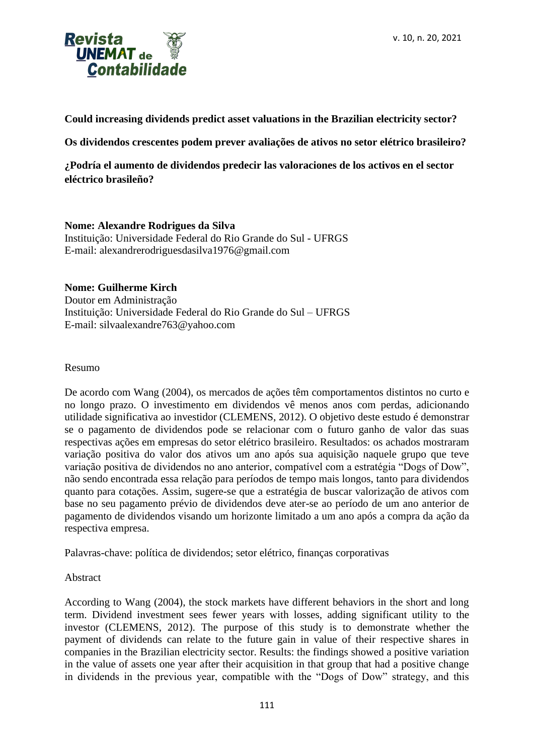

**Could increasing dividends predict asset valuations in the Brazilian electricity sector?**

**Os dividendos crescentes podem prever avaliações de ativos no setor elétrico brasileiro?**

**¿Podría el aumento de dividendos predecir las valoraciones de los activos en el sector eléctrico brasileño?**

## **Nome: Alexandre Rodrigues da Silva**

Instituição: Universidade Federal do Rio Grande do Sul - UFRGS E-mail: alexandrerodriguesdasilva1976@gmail.com

## **Nome: Guilherme Kirch**

Doutor em Administração Instituição: Universidade Federal do Rio Grande do Sul – UFRGS E-mail: silvaalexandre763@yahoo.com

## Resumo

De acordo com Wang (2004), os mercados de ações têm comportamentos distintos no curto e no longo prazo. O investimento em dividendos vê menos anos com perdas, adicionando utilidade significativa ao investidor (CLEMENS, 2012). O objetivo deste estudo é demonstrar se o pagamento de dividendos pode se relacionar com o futuro ganho de valor das suas respectivas ações em empresas do setor elétrico brasileiro. Resultados: os achados mostraram variação positiva do valor dos ativos um ano após sua aquisição naquele grupo que teve variação positiva de dividendos no ano anterior, compatível com a estratégia "Dogs of Dow", não sendo encontrada essa relação para períodos de tempo mais longos, tanto para dividendos quanto para cotações. Assim, sugere-se que a estratégia de buscar valorização de ativos com base no seu pagamento prévio de dividendos deve ater-se ao período de um ano anterior de pagamento de dividendos visando um horizonte limitado a um ano após a compra da ação da respectiva empresa.

Palavras-chave: política de dividendos; setor elétrico, finanças corporativas

## Abstract

According to Wang (2004), the stock markets have different behaviors in the short and long term. Dividend investment sees fewer years with losses, adding significant utility to the investor (CLEMENS, 2012). The purpose of this study is to demonstrate whether the payment of dividends can relate to the future gain in value of their respective shares in companies in the Brazilian electricity sector. Results: the findings showed a positive variation in the value of assets one year after their acquisition in that group that had a positive change in dividends in the previous year, compatible with the "Dogs of Dow" strategy, and this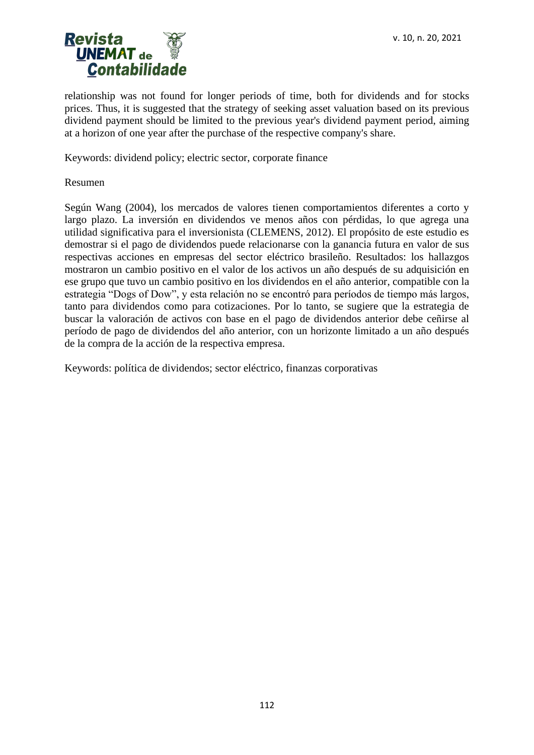

relationship was not found for longer periods of time, both for dividends and for stocks prices. Thus, it is suggested that the strategy of seeking asset valuation based on its previous dividend payment should be limited to the previous year's dividend payment period, aiming at a horizon of one year after the purchase of the respective company's share.

Keywords: dividend policy; electric sector, corporate finance

Resumen

Según Wang (2004), los mercados de valores tienen comportamientos diferentes a corto y largo plazo. La inversión en dividendos ve menos años con pérdidas, lo que agrega una utilidad significativa para el inversionista (CLEMENS, 2012). El propósito de este estudio es demostrar si el pago de dividendos puede relacionarse con la ganancia futura en valor de sus respectivas acciones en empresas del sector eléctrico brasileño. Resultados: los hallazgos mostraron un cambio positivo en el valor de los activos un año después de su adquisición en ese grupo que tuvo un cambio positivo en los dividendos en el año anterior, compatible con la estrategia "Dogs of Dow", y esta relación no se encontró para períodos de tiempo más largos, tanto para dividendos como para cotizaciones. Por lo tanto, se sugiere que la estrategia de buscar la valoración de activos con base en el pago de dividendos anterior debe ceñirse al período de pago de dividendos del año anterior, con un horizonte limitado a un año después de la compra de la acción de la respectiva empresa.

Keywords: política de dividendos; sector eléctrico, finanzas corporativas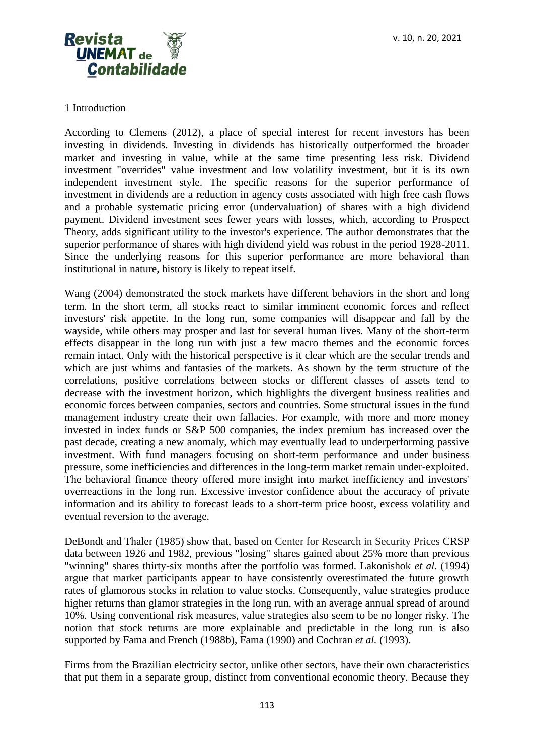v. 10, n. 20, 2021



## 1 Introduction

According to Clemens (2012), a place of special interest for recent investors has been investing in dividends. Investing in dividends has historically outperformed the broader market and investing in value, while at the same time presenting less risk. Dividend investment "overrides" value investment and low volatility investment, but it is its own independent investment style. The specific reasons for the superior performance of investment in dividends are a reduction in agency costs associated with high free cash flows and a probable systematic pricing error (undervaluation) of shares with a high dividend payment. Dividend investment sees fewer years with losses, which, according to Prospect Theory, adds significant utility to the investor's experience. The author demonstrates that the superior performance of shares with high dividend yield was robust in the period 1928-2011. Since the underlying reasons for this superior performance are more behavioral than institutional in nature, history is likely to repeat itself.

Wang (2004) demonstrated the stock markets have different behaviors in the short and long term. In the short term, all stocks react to similar imminent economic forces and reflect investors' risk appetite. In the long run, some companies will disappear and fall by the wayside, while others may prosper and last for several human lives. Many of the short-term effects disappear in the long run with just a few macro themes and the economic forces remain intact. Only with the historical perspective is it clear which are the secular trends and which are just whims and fantasies of the markets. As shown by the term structure of the correlations, positive correlations between stocks or different classes of assets tend to decrease with the investment horizon, which highlights the divergent business realities and economic forces between companies, sectors and countries. Some structural issues in the fund management industry create their own fallacies. For example, with more and more money invested in index funds or S&P 500 companies, the index premium has increased over the past decade, creating a new anomaly, which may eventually lead to underperforming passive investment. With fund managers focusing on short-term performance and under business pressure, some inefficiencies and differences in the long-term market remain under-exploited. The behavioral finance theory offered more insight into market inefficiency and investors' overreactions in the long run. Excessive investor confidence about the accuracy of private information and its ability to forecast leads to a short-term price boost, excess volatility and eventual reversion to the average.

DeBondt and Thaler (1985) show that, based on Center for Research in Security Prices CRSP data between 1926 and 1982, previous "losing" shares gained about 25% more than previous "winning" shares thirty-six months after the portfolio was formed. Lakonishok *et al*. (1994) argue that market participants appear to have consistently overestimated the future growth rates of glamorous stocks in relation to value stocks. Consequently, value strategies produce higher returns than glamor strategies in the long run, with an average annual spread of around 10%. Using conventional risk measures, value strategies also seem to be no longer risky. The notion that stock returns are more explainable and predictable in the long run is also supported by Fama and French (1988b), Fama (1990) and Cochran *et al.* (1993).

Firms from the Brazilian electricity sector, unlike other sectors, have their own characteristics that put them in a separate group, distinct from conventional economic theory. Because they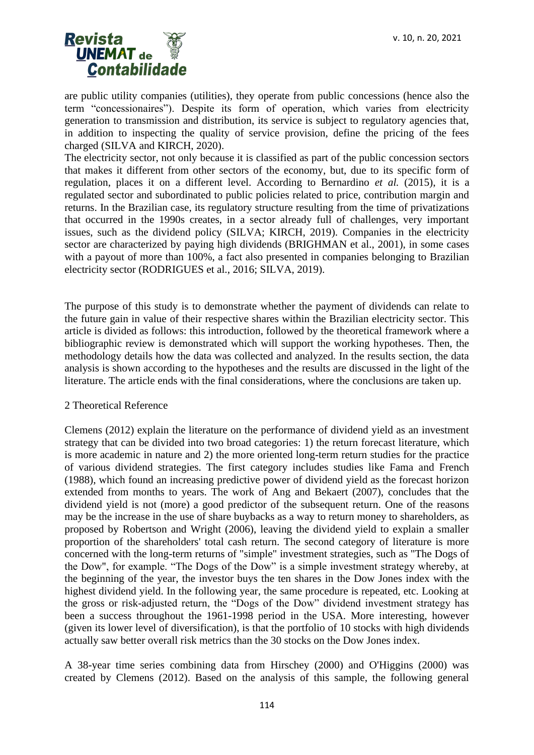

are public utility companies (utilities), they operate from public concessions (hence also the term "concessionaires"). Despite its form of operation, which varies from electricity generation to transmission and distribution, its service is subject to regulatory agencies that, in addition to inspecting the quality of service provision, define the pricing of the fees charged (SILVA and KIRCH, 2020).

The electricity sector, not only because it is classified as part of the public concession sectors that makes it different from other sectors of the economy, but, due to its specific form of regulation, places it on a different level. According to Bernardino *et al.* (2015), it is a regulated sector and subordinated to public policies related to price, contribution margin and returns. In the Brazilian case, its regulatory structure resulting from the time of privatizations that occurred in the 1990s creates, in a sector already full of challenges, very important issues, such as the dividend policy (SILVA; KIRCH, 2019). Companies in the electricity sector are characterized by paying high dividends (BRIGHMAN et al., 2001), in some cases with a payout of more than 100%, a fact also presented in companies belonging to Brazilian electricity sector (RODRIGUES et al., 2016; SILVA, 2019).

The purpose of this study is to demonstrate whether the payment of dividends can relate to the future gain in value of their respective shares within the Brazilian electricity sector. This article is divided as follows: this introduction, followed by the theoretical framework where a bibliographic review is demonstrated which will support the working hypotheses. Then, the methodology details how the data was collected and analyzed. In the results section, the data analysis is shown according to the hypotheses and the results are discussed in the light of the literature. The article ends with the final considerations, where the conclusions are taken up.

## 2 Theoretical Reference

Clemens (2012) explain the literature on the performance of dividend yield as an investment strategy that can be divided into two broad categories: 1) the return forecast literature, which is more academic in nature and 2) the more oriented long-term return studies for the practice of various dividend strategies. The first category includes studies like Fama and French (1988), which found an increasing predictive power of dividend yield as the forecast horizon extended from months to years. The work of Ang and Bekaert (2007), concludes that the dividend yield is not (more) a good predictor of the subsequent return. One of the reasons may be the increase in the use of share buybacks as a way to return money to shareholders, as proposed by Robertson and Wright (2006), leaving the dividend yield to explain a smaller proportion of the shareholders' total cash return. The second category of literature is more concerned with the long-term returns of "simple" investment strategies, such as "The Dogs of the Dow", for example. "The Dogs of the Dow" is a simple investment strategy whereby, at the beginning of the year, the investor buys the ten shares in the Dow Jones index with the highest dividend yield. In the following year, the same procedure is repeated, etc. Looking at the gross or risk-adjusted return, the "Dogs of the Dow" dividend investment strategy has been a success throughout the 1961-1998 period in the USA. More interesting, however (given its lower level of diversification), is that the portfolio of 10 stocks with high dividends actually saw better overall risk metrics than the 30 stocks on the Dow Jones index.

A 38-year time series combining data from Hirschey (2000) and O'Higgins (2000) was created by Clemens (2012). Based on the analysis of this sample, the following general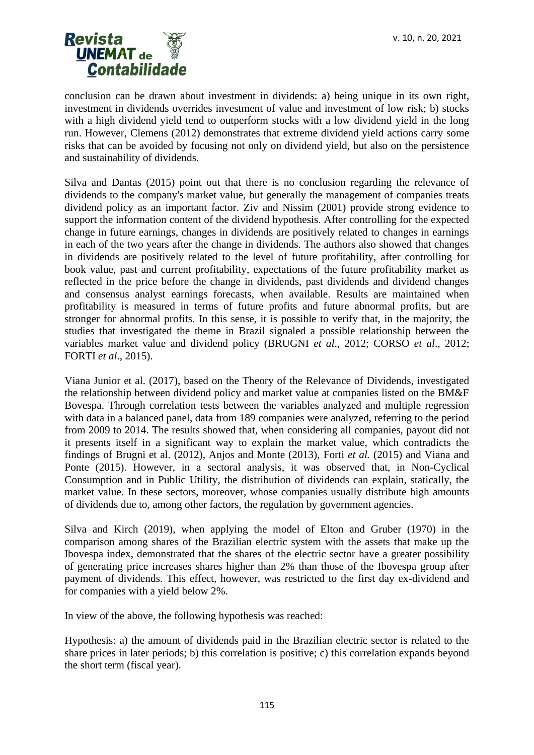

conclusion can be drawn about investment in dividends: a) being unique in its own right, investment in dividends overrides investment of value and investment of low risk; b) stocks with a high dividend yield tend to outperform stocks with a low dividend yield in the long run. However, Clemens (2012) demonstrates that extreme dividend yield actions carry some risks that can be avoided by focusing not only on dividend yield, but also on the persistence and sustainability of dividends.

Silva and Dantas (2015) point out that there is no conclusion regarding the relevance of dividends to the company's market value, but generally the management of companies treats dividend policy as an important factor. Ziv and Nissim (2001) provide strong evidence to support the information content of the dividend hypothesis. After controlling for the expected change in future earnings, changes in dividends are positively related to changes in earnings in each of the two years after the change in dividends. The authors also showed that changes in dividends are positively related to the level of future profitability, after controlling for book value, past and current profitability, expectations of the future profitability market as reflected in the price before the change in dividends, past dividends and dividend changes and consensus analyst earnings forecasts, when available. Results are maintained when profitability is measured in terms of future profits and future abnormal profits, but are stronger for abnormal profits. In this sense, it is possible to verify that, in the majority, the studies that investigated the theme in Brazil signaled a possible relationship between the variables market value and dividend policy (BRUGNI *et al*., 2012; CORSO *et al*., 2012; FORTI *et al*., 2015).

Viana Junior et al. (2017), based on the Theory of the Relevance of Dividends, investigated the relationship between dividend policy and market value at companies listed on the BM&F Bovespa. Through correlation tests between the variables analyzed and multiple regression with data in a balanced panel, data from 189 companies were analyzed, referring to the period from 2009 to 2014. The results showed that, when considering all companies, payout did not it presents itself in a significant way to explain the market value, which contradicts the findings of Brugni et al. (2012), Anjos and Monte (2013), Forti *et al.* (2015) and Viana and Ponte (2015). However, in a sectoral analysis, it was observed that, in Non-Cyclical Consumption and in Public Utility, the distribution of dividends can explain, statically, the market value. In these sectors, moreover, whose companies usually distribute high amounts of dividends due to, among other factors, the regulation by government agencies.

Silva and Kirch (2019), when applying the model of Elton and Gruber (1970) in the comparison among shares of the Brazilian electric system with the assets that make up the Ibovespa index, demonstrated that the shares of the electric sector have a greater possibility of generating price increases shares higher than 2% than those of the Ibovespa group after payment of dividends. This effect, however, was restricted to the first day ex-dividend and for companies with a yield below 2%.

In view of the above, the following hypothesis was reached:

Hypothesis: a) the amount of dividends paid in the Brazilian electric sector is related to the share prices in later periods; b) this correlation is positive; c) this correlation expands beyond the short term (fiscal year).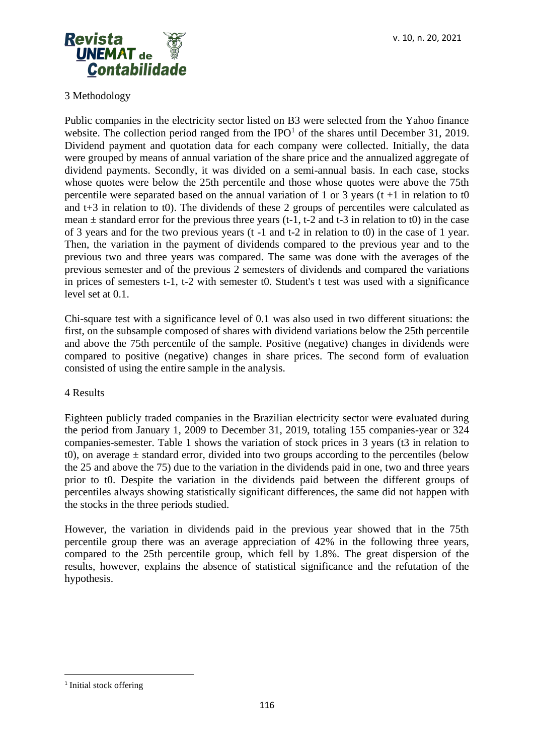

# 3 Methodology

Public companies in the electricity sector listed on B3 were selected from the Yahoo finance website. The collection period ranged from the  $IPO<sup>1</sup>$  of the shares until December 31, 2019. Dividend payment and quotation data for each company were collected. Initially, the data were grouped by means of annual variation of the share price and the annualized aggregate of dividend payments. Secondly, it was divided on a semi-annual basis. In each case, stocks whose quotes were below the 25th percentile and those whose quotes were above the 75th percentile were separated based on the annual variation of 1 or 3 years  $(t + 1)$  in relation to to and t+3 in relation to t0). The dividends of these 2 groups of percentiles were calculated as mean  $\pm$  standard error for the previous three years (t-1, t-2 and t-3 in relation to t0) in the case of 3 years and for the two previous years (t -1 and t-2 in relation to t0) in the case of 1 year. Then, the variation in the payment of dividends compared to the previous year and to the previous two and three years was compared. The same was done with the averages of the previous semester and of the previous 2 semesters of dividends and compared the variations in prices of semesters t-1, t-2 with semester t0. Student's t test was used with a significance level set at 0.1.

Chi-square test with a significance level of 0.1 was also used in two different situations: the first, on the subsample composed of shares with dividend variations below the 25th percentile and above the 75th percentile of the sample. Positive (negative) changes in dividends were compared to positive (negative) changes in share prices. The second form of evaluation consisted of using the entire sample in the analysis.

## 4 Results

Eighteen publicly traded companies in the Brazilian electricity sector were evaluated during the period from January 1, 2009 to December 31, 2019, totaling 155 companies-year or 324 companies-semester. Table 1 shows the variation of stock prices in 3 years (t3 in relation to t0), on average  $\pm$  standard error, divided into two groups according to the percentiles (below the 25 and above the 75) due to the variation in the dividends paid in one, two and three years prior to t0. Despite the variation in the dividends paid between the different groups of percentiles always showing statistically significant differences, the same did not happen with the stocks in the three periods studied.

However, the variation in dividends paid in the previous year showed that in the 75th percentile group there was an average appreciation of 42% in the following three years, compared to the 25th percentile group, which fell by 1.8%. The great dispersion of the results, however, explains the absence of statistical significance and the refutation of the hypothesis.

<sup>&</sup>lt;sup>1</sup> Initial stock offering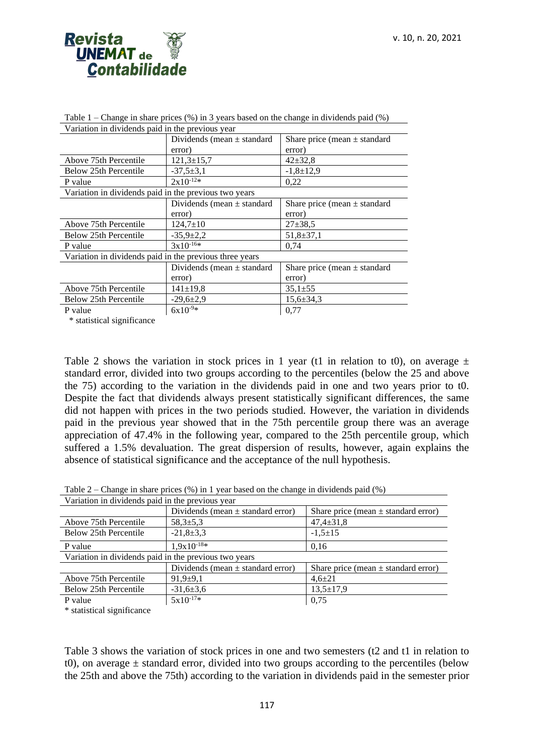

| Variation in dividends paid in the previous year        |                                |                                  |  |  |
|---------------------------------------------------------|--------------------------------|----------------------------------|--|--|
|                                                         | Dividends (mean $\pm$ standard | Share price (mean $\pm$ standard |  |  |
|                                                         | error)                         | error)                           |  |  |
| Above 75th Percentile                                   | $121,3\pm 15,7$                | $42 \pm 32.8$                    |  |  |
| Below 25th Percentile                                   | $-37,5+3,1$                    | $-1,8+12,9$                      |  |  |
| P value                                                 | $2x10^{-12*}$                  | 0,22                             |  |  |
| Variation in dividends paid in the previous two years   |                                |                                  |  |  |
|                                                         | Dividends (mean $\pm$ standard | Share price (mean $\pm$ standard |  |  |
|                                                         | error)                         | error)                           |  |  |
| Above 75th Percentile                                   | $124,7 \pm 10$                 | $27 \pm 38.5$                    |  |  |
| Below 25th Percentile                                   | $-35,9 \pm 2,2$                | $51,8+37,1$                      |  |  |
| P value                                                 | $3x10^{-16*}$                  | 0.74                             |  |  |
| Variation in dividends paid in the previous three years |                                |                                  |  |  |
|                                                         | Dividends (mean $\pm$ standard | Share price (mean $\pm$ standard |  |  |
|                                                         | error)                         | error)                           |  |  |
| Above 75th Percentile                                   | $141 \pm 19.8$                 | $35,1 \pm 55$                    |  |  |
| Below 25th Percentile                                   | $-29,6 \pm 2,9$                | $15,6 \pm 34,3$                  |  |  |
| P value                                                 | $6x10^{-9*}$                   | 0,77                             |  |  |

Table  $1$  – Change in share prices  $(\%)$  in 3 years based on the change in dividends paid  $(\%)$ Variation in dividends paid in the previous year

\* statistical significance

Table 2 shows the variation in stock prices in 1 year (t1 in relation to t0), on average  $\pm$ standard error, divided into two groups according to the percentiles (below the 25 and above the 75) according to the variation in the dividends paid in one and two years prior to t0. Despite the fact that dividends always present statistically significant differences, the same did not happen with prices in the two periods studied. However, the variation in dividends paid in the previous year showed that in the 75th percentile group there was an average appreciation of 47.4% in the following year, compared to the 25th percentile group, which suffered a 1.5% devaluation. The great dispersion of results, however, again explains the absence of statistical significance and the acceptance of the null hypothesis.

Table 2 – Change in share prices (%) in 1 year based on the change in dividends paid (%)

| Variation in dividends paid in the previous year      |                                       |                                         |  |  |
|-------------------------------------------------------|---------------------------------------|-----------------------------------------|--|--|
|                                                       | Dividends (mean $\pm$ standard error) | Share price (mean $\pm$ standard error) |  |  |
| Above 75th Percentile                                 | $58.3 \pm 5.3$                        | $47,4 \pm 31,8$                         |  |  |
| Below 25th Percentile                                 | $-21,8+3,3$                           | $-1,5+15$                               |  |  |
| P value                                               | $1.9x10^{-18*}$                       | 0,16                                    |  |  |
| Variation in dividends paid in the previous two years |                                       |                                         |  |  |
|                                                       | Dividends (mean $\pm$ standard error) | Share price (mean $\pm$ standard error) |  |  |
| Above 75th Percentile                                 | $91.9 \pm 9.1$                        | $4,6{\pm}21$                            |  |  |
| Below 25th Percentile                                 | $-31,6+3,6$                           | $13,5 \pm 17,9$                         |  |  |
| P value                                               | $5x10^{-17*}$                         | 0,75                                    |  |  |

\* statistical significance

Table 3 shows the variation of stock prices in one and two semesters (t2 and t1 in relation to t0), on average  $\pm$  standard error, divided into two groups according to the percentiles (below the 25th and above the 75th) according to the variation in dividends paid in the semester prior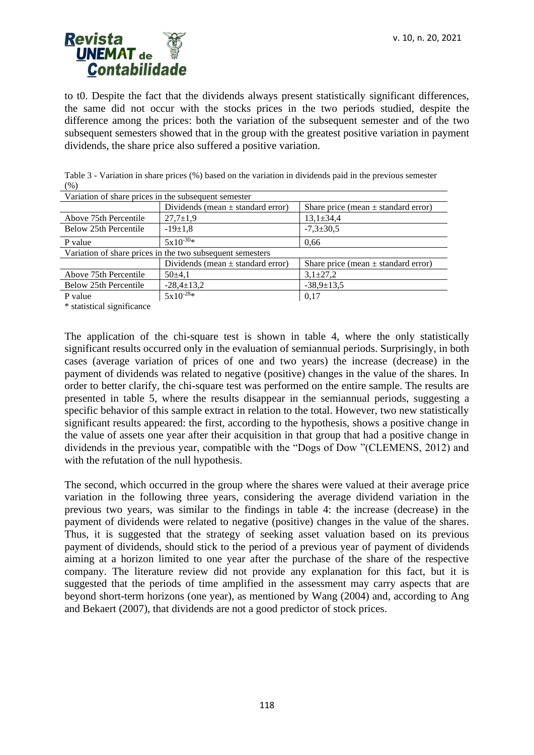

to t0. Despite the fact that the dividends always present statistically significant differences, the same did not occur with the stocks prices in the two periods studied, despite the difference among the prices: both the variation of the subsequent semester and of the two subsequent semesters showed that in the group with the greatest positive variation in payment dividends, the share price also suffered a positive variation.

| Variation of share prices in the subsequent semester      |                                       |                                         |  |  |
|-----------------------------------------------------------|---------------------------------------|-----------------------------------------|--|--|
|                                                           | Dividends (mean $\pm$ standard error) | Share price (mean $\pm$ standard error) |  |  |
| Above 75th Percentile                                     | $27,7 \pm 1,9$                        | $13,1 \pm 34,4$                         |  |  |
| Below 25th Percentile                                     | $-19\pm1.8$                           | $-7,3 \pm 30,5$                         |  |  |
| P value                                                   | $5x10^{-30*}$                         | 0.66                                    |  |  |
| Variation of share prices in the two subsequent semesters |                                       |                                         |  |  |
|                                                           | Dividends (mean $\pm$ standard error) | Share price (mean $\pm$ standard error) |  |  |
| Above 75th Percentile                                     | $50\pm4.1$                            | $3,1\pm27,2$                            |  |  |
| Below 25th Percentile                                     | $-28,4 \pm 13,2$                      | $-38,9 \pm 13,5$                        |  |  |
| P value                                                   | $5x10^{-28*}$                         | 0.17                                    |  |  |

Table 3 - Variation in share prices (%) based on the variation in dividends paid in the previous semester (%)

\* statistical significance

The application of the chi-square test is shown in table 4, where the only statistically significant results occurred only in the evaluation of semiannual periods. Surprisingly, in both cases (average variation of prices of one and two years) the increase (decrease) in the payment of dividends was related to negative (positive) changes in the value of the shares. In order to better clarify, the chi-square test was performed on the entire sample. The results are presented in table 5, where the results disappear in the semiannual periods, suggesting a specific behavior of this sample extract in relation to the total. However, two new statistically significant results appeared: the first, according to the hypothesis, shows a positive change in the value of assets one year after their acquisition in that group that had a positive change in dividends in the previous year, compatible with the "Dogs of Dow "(CLEMENS, 2012) and with the refutation of the null hypothesis.

The second, which occurred in the group where the shares were valued at their average price variation in the following three years, considering the average dividend variation in the previous two years, was similar to the findings in table 4: the increase (decrease) in the payment of dividends were related to negative (positive) changes in the value of the shares. Thus, it is suggested that the strategy of seeking asset valuation based on its previous payment of dividends, should stick to the period of a previous year of payment of dividends aiming at a horizon limited to one year after the purchase of the share of the respective company. The literature review did not provide any explanation for this fact, but it is suggested that the periods of time amplified in the assessment may carry aspects that are beyond short-term horizons (one year), as mentioned by Wang (2004) and, according to Ang and Bekaert (2007), that dividends are not a good predictor of stock prices.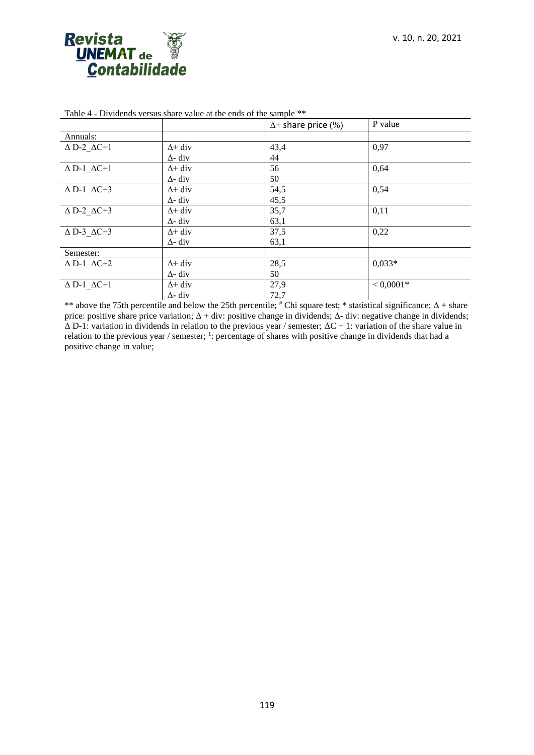

|                                 |                | $\Delta$ + share price (%) | P value     |
|---------------------------------|----------------|----------------------------|-------------|
| Annuals:                        |                |                            |             |
| $\Delta$ D-2 $\Delta$ C+1       | $\Delta$ + div | 43,4                       | 0,97        |
|                                 | $\Delta$ - div | 44                         |             |
| $\Delta$ D-1 $\Delta C{+}1$     | $\Delta$ + div | 56                         | 0,64        |
|                                 | $\Delta$ - div | 50                         |             |
| $\Delta$ D-1_ $\Delta$ C+3      | $\Delta$ + div | 54,5                       | 0,54        |
|                                 | $\Delta$ - div | 45,5                       |             |
| $\triangle$ D-2 $\triangle$ C+3 | $\Delta$ + div | 35,7                       | 0,11        |
|                                 | $\Delta$ - div | 63,1                       |             |
| $\triangle$ D-3 $\triangle$ C+3 | $\Delta$ + div | 37,5                       | 0,22        |
|                                 | $\Delta$ - div | 63,1                       |             |
| Semester:                       |                |                            |             |
| $\Delta$ D-1 $\Delta$ C+2       | $\Delta$ + div | 28,5                       | $0.033*$    |
|                                 | $\Delta$ - div | 50                         |             |
| $\Delta$ D-1 $\Delta$ C+1       | $\Delta$ + div | 27,9                       | $< 0,0001*$ |
|                                 | $\Delta$ - div | 72,7                       |             |

Table 4 - Dividends versus share value at the ends of the sample \*\*

\*\* above the 75th percentile and below the 25th percentile;  $*$  Chi square test; \* statistical significance;  $\Delta$  + share price: positive share price variation;  $\Delta$  + div: positive change in dividends;  $\Delta$ - div: negative change in dividends;  $\Delta$  D-1: variation in dividends in relation to the previous year / semester;  $\Delta C + 1$ : variation of the share value in relation to the previous year / semester; <sup>1</sup>: percentage of shares with positive change in dividends that had a positive change in value;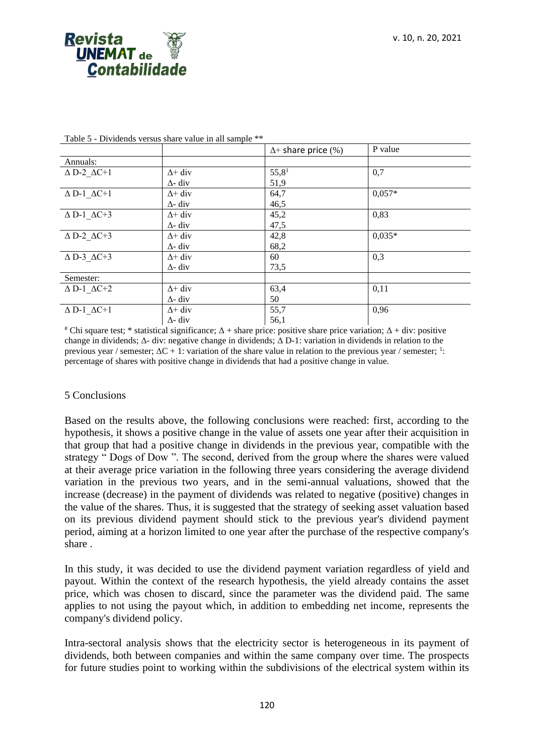

|                                 |                | $\Delta$ + share price (%) | P value  |
|---------------------------------|----------------|----------------------------|----------|
| Annuals:                        |                |                            |          |
| $\Delta$ D-2 $\Delta$ C+1       | $\Delta$ + div | 55,8 <sup>1</sup>          | 0,7      |
|                                 | $\Delta$ - div | 51,9                       |          |
| $\Delta$ D-1 $\Delta$ C+1       | $\Delta$ + div | 64,7                       | $0.057*$ |
|                                 | $\Delta$ - div | 46,5                       |          |
| $\Delta$ D-1_ $\Delta$ C+3      | $\Delta$ + div | 45,2                       | 0,83     |
|                                 | $\Delta$ - div | 47,5                       |          |
| $\Delta$ D-2 $\Delta$ C+3       | $\Delta$ + div | 42,8                       | $0.035*$ |
|                                 | $\Delta$ - div | 68,2                       |          |
| $\triangle$ D-3 $\triangle$ C+3 | $\Delta$ + div | 60                         | 0,3      |
|                                 | $\Delta$ - div | 73,5                       |          |
| Semester:                       |                |                            |          |
| $\Delta$ D-1 $\Delta$ C+2       | $\Delta$ + div | 63,4                       | 0,11     |
|                                 | $\Delta$ - div | 50                         |          |
| $\Delta$ D-1 $\Delta$ C+1       | $\Delta$ + div | 55,7                       | 0,96     |
|                                 | $\Delta$ - div | 56,1                       |          |

Table 5 - Dividends versus share value in all sample \*\*

<sup>#</sup> Chi square test; \* statistical significance;  $Δ + share$  price: positive share price variation;  $Δ + div$ : positive change in dividends;  $\Delta$ - div: negative change in dividends;  $\Delta$  D-1: variation in dividends in relation to the previous year / semester;  $\Delta C + 1$ : variation of the share value in relation to the previous year / semester; <sup>1</sup>: percentage of shares with positive change in dividends that had a positive change in value.

#### 5 Conclusions

Based on the results above, the following conclusions were reached: first, according to the hypothesis, it shows a positive change in the value of assets one year after their acquisition in that group that had a positive change in dividends in the previous year, compatible with the strategy " Dogs of Dow ". The second, derived from the group where the shares were valued at their average price variation in the following three years considering the average dividend variation in the previous two years, and in the semi-annual valuations, showed that the increase (decrease) in the payment of dividends was related to negative (positive) changes in the value of the shares. Thus, it is suggested that the strategy of seeking asset valuation based on its previous dividend payment should stick to the previous year's dividend payment period, aiming at a horizon limited to one year after the purchase of the respective company's share .

In this study, it was decided to use the dividend payment variation regardless of yield and payout. Within the context of the research hypothesis, the yield already contains the asset price, which was chosen to discard, since the parameter was the dividend paid. The same applies to not using the payout which, in addition to embedding net income, represents the company's dividend policy.

Intra-sectoral analysis shows that the electricity sector is heterogeneous in its payment of dividends, both between companies and within the same company over time. The prospects for future studies point to working within the subdivisions of the electrical system within its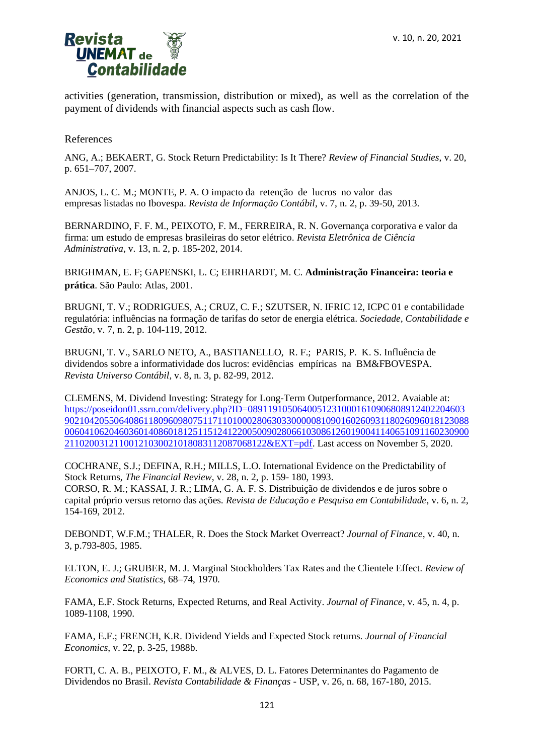

activities (generation, transmission, distribution or mixed), as well as the correlation of the payment of dividends with financial aspects such as cash flow.

References

ANG, A.; BEKAERT, G. Stock Return Predictability: Is It There? *Review of Financial Studies*, v. 20, p. 651–707, 2007.

ANJOS, L. C. M.; MONTE, P. A. O impacto da retenção de lucros no valor das empresas listadas no Ibovespa. *Revista de Informação Contábil*, v. 7, n. 2, p. 39-50, 2013.

BERNARDINO, F. F. M., PEIXOTO, F. M., FERREIRA, R. N. Governança corporativa e valor da firma: um estudo de empresas brasileiras do setor elétrico. *Revista Eletrônica de Ciência Administrativa*, v. 13, n. 2, p. 185-202, 2014.

BRIGHMAN, E. F; GAPENSKI, L. C; EHRHARDT, M. C. **Administração Financeira: teoria e prática**. São Paulo: Atlas, 2001.

BRUGNI, T. V.; RODRIGUES, A.; CRUZ, C. F.; SZUTSER, N. IFRIC 12, ICPC 01 e contabilidade regulatória: influências na formação de tarifas do setor de energia elétrica. *Sociedade, Contabilidade e Gestão*, v. 7, n. 2, p. 104-119, 2012.

BRUGNI, T. V., SARLO NETO, A., BASTIANELLO, R. F.; PARIS, P. K. S. Influência de dividendos sobre a informatividade dos lucros: evidências empíricas na BM&FBOVESPA. *Revista Universo Contábil*, v. 8, n. 3, p. 82-99, 2012.

CLEMENS, M. Dividend Investing: Strategy for Long-Term Outperformance, 2012. Avaiable at: [https://poseidon01.ssrn.com/delivery.php?ID=08911910506400512310001610906808912402204603](https://poseidon01.ssrn.com/delivery.php?ID=089119105064005123100016109068089124022046039021042055064086118096098075117110100028063033000008109016026093118026096018123088006041062046036014086018125115124122005009028066103086126019004114065109116023090021102003121100121030021018083112087068122&EXT=pdf) [9021042055064086118096098075117110100028063033000008109016026093118026096018123088](https://poseidon01.ssrn.com/delivery.php?ID=089119105064005123100016109068089124022046039021042055064086118096098075117110100028063033000008109016026093118026096018123088006041062046036014086018125115124122005009028066103086126019004114065109116023090021102003121100121030021018083112087068122&EXT=pdf) [0060410620460360140860181251151241220050090280661030861260190041140651091160230900](https://poseidon01.ssrn.com/delivery.php?ID=089119105064005123100016109068089124022046039021042055064086118096098075117110100028063033000008109016026093118026096018123088006041062046036014086018125115124122005009028066103086126019004114065109116023090021102003121100121030021018083112087068122&EXT=pdf) [21102003121100121030021018083112087068122&EXT=pdf.](https://poseidon01.ssrn.com/delivery.php?ID=089119105064005123100016109068089124022046039021042055064086118096098075117110100028063033000008109016026093118026096018123088006041062046036014086018125115124122005009028066103086126019004114065109116023090021102003121100121030021018083112087068122&EXT=pdf) Last access on November 5, 2020.

COCHRANE, S.J.; DEFINA, R.H.; MILLS, L.O. International Evidence on the Predictability of Stock Returns, *The Financial Review*, v. 28, n. 2, p. 159- 180, 1993. CORSO, R. M.; KASSAI, J. R.; LIMA, G. A. F. S. Distribuição de dividendos e de juros sobre o capital próprio versus retorno das ações. *Revista de Educação e Pesquisa em Contabilidade*, v. 6, n. 2, 154-169, 2012.

DEBONDT, W.F.M.; THALER, R. Does the Stock Market Overreact? *Journal of Finance*, v. 40, n. 3, p.793-805, 1985.

ELTON, E. J.; GRUBER, M. J. Marginal Stockholders Tax Rates and the Clientele Effect. *Review of Economics and Statistics*, 68–74, 1970.

FAMA, E.F. Stock Returns, Expected Returns, and Real Activity. *Journal of Finance*, v. 45, n. 4, p. 1089-1108, 1990.

FAMA, E.F.; FRENCH, K.R. Dividend Yields and Expected Stock returns. *Journal of Financial Economics*, v. 22, p. 3-25, 1988b.

FORTI, C. A. B., PEIXOTO, F. M., & ALVES, D. L. Fatores Determinantes do Pagamento de Dividendos no Brasil. *Revista Contabilidade & Finanças* - USP, v. 26, n. 68, 167-180, 2015.